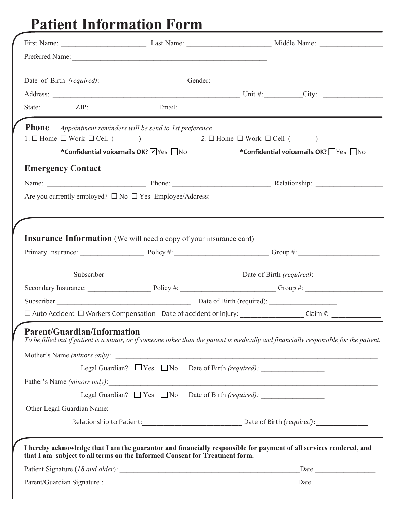# **Patient Information Form**

|                                    |                                                                            | Date of Birth (required): Gender: Gender: Communication of Birth (required):                                                           |
|------------------------------------|----------------------------------------------------------------------------|----------------------------------------------------------------------------------------------------------------------------------------|
|                                    |                                                                            |                                                                                                                                        |
|                                    |                                                                            |                                                                                                                                        |
| <b>Phone</b>                       | Appointment reminders will be send to 1st preference                       |                                                                                                                                        |
|                                    |                                                                            |                                                                                                                                        |
|                                    |                                                                            | *Confidential voicemails OK? VYes No * Confidential voicemails OK? Ves No                                                              |
| <b>Emergency Contact</b>           |                                                                            |                                                                                                                                        |
|                                    |                                                                            |                                                                                                                                        |
|                                    |                                                                            |                                                                                                                                        |
|                                    |                                                                            |                                                                                                                                        |
|                                    |                                                                            |                                                                                                                                        |
|                                    | <b>Insurance Information</b> (We will need a copy of your insurance card)  |                                                                                                                                        |
|                                    |                                                                            |                                                                                                                                        |
|                                    |                                                                            |                                                                                                                                        |
|                                    |                                                                            | Primary Insurance: Discovery Policy #: Contact Transmission Crown #: Contact Transmission Crown #:                                     |
|                                    |                                                                            |                                                                                                                                        |
|                                    |                                                                            | Secondary Insurance: Department Policy #: Department of the Group #: Department of the Group #:                                        |
|                                    |                                                                            |                                                                                                                                        |
|                                    |                                                                            | □ Auto Accident □ Workers Compensation Date of accident or injury: ___________________Claim #: _______________                         |
| <b>Parent/Guardian/Information</b> |                                                                            |                                                                                                                                        |
|                                    |                                                                            |                                                                                                                                        |
|                                    |                                                                            |                                                                                                                                        |
|                                    |                                                                            |                                                                                                                                        |
|                                    |                                                                            | Legal Guardian? $\Box$ Yes $\Box$ No Date of Birth (required):                                                                         |
|                                    |                                                                            |                                                                                                                                        |
|                                    |                                                                            | To be filled out if patient is a minor, or if someone other than the patient is medically and financially responsible for the patient. |
|                                    |                                                                            |                                                                                                                                        |
|                                    | that I am subject to all terms on the Informed Consent for Treatment form. | I hereby acknowledge that I am the guarantor and financially responsible for payment of all services rendered, and                     |
|                                    |                                                                            |                                                                                                                                        |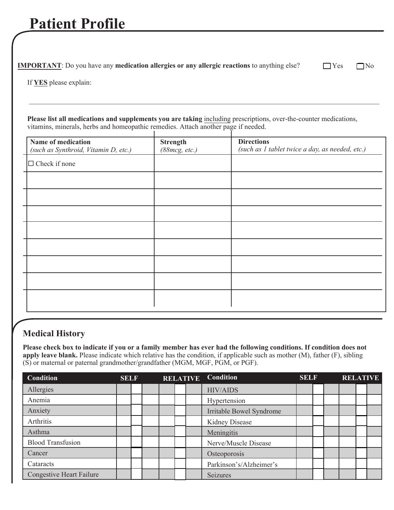## **Patient Profile**

**IMPORTANT**: Do you have any **medication allergies or any allergic reactions** to anything else?  $\Box$  Yes  $\Box$  No

If **YES** please explain:

**Please list all medications and supplements you are taking** including prescriptions, over-the-counter medications, vitamins, minerals, herbs and homeopathic remedies. Attach another page if needed.

*\_\_\_\_\_\_\_\_\_\_\_\_\_\_\_\_\_\_\_\_\_\_\_\_\_\_\_\_\_\_\_\_\_\_\_\_\_\_\_\_\_\_\_\_\_\_\_\_\_\_\_\_\_\_\_\_\_\_\_\_\_\_\_\_\_\_\_\_\_\_\_\_\_\_\_\_\_\_\_\_\_\_\_\_\_\_\_\_\_\_\_\_\_\_\_\_\_\_\_*

| Name of medication<br>(such as Synthroid, Vitamin D, etc.) | <b>Strength</b><br>(88mcg, etc.) | <b>Directions</b><br>(such as 1 tablet twice a day, as needed, etc.) |
|------------------------------------------------------------|----------------------------------|----------------------------------------------------------------------|
| $\Box$ Check if none                                       |                                  |                                                                      |
|                                                            |                                  |                                                                      |
|                                                            |                                  |                                                                      |
|                                                            |                                  |                                                                      |
|                                                            |                                  |                                                                      |
|                                                            |                                  |                                                                      |
|                                                            |                                  |                                                                      |
|                                                            |                                  |                                                                      |
|                                                            |                                  |                                                                      |
|                                                            |                                  |                                                                      |

#### **Medical History**

**Please check box to indicate if you or a family member has ever had the following conditions. If condition does not apply leave blank.** Please indicate which relative has the condition, if applicable such as mother (M), father (F), sibling (S) or maternal or paternal grandmother/grandfather (MGM, MGF, PGM, or PGF).

| <b>Condition</b>                | <b>SELF</b> |  | <b>RELATIVE</b> | <b>Condition</b>         | <b>SELF</b> |  | <b>RELATIVE</b> |  |
|---------------------------------|-------------|--|-----------------|--------------------------|-------------|--|-----------------|--|
| Allergies                       |             |  |                 | <b>HIV/AIDS</b>          |             |  |                 |  |
| Anemia                          |             |  |                 | Hypertension             |             |  |                 |  |
| Anxiety                         |             |  |                 | Irritable Bowel Syndrome |             |  |                 |  |
| Arthritis                       |             |  |                 | <b>Kidney Disease</b>    |             |  |                 |  |
| Asthma                          |             |  |                 | Meningitis               |             |  |                 |  |
| <b>Blood Transfusion</b>        |             |  |                 | Nerve/Muscle Disease     |             |  |                 |  |
| Cancer                          |             |  |                 | Osteoporosis             |             |  |                 |  |
| Cataracts                       |             |  |                 | Parkinson's/Alzheimer's  |             |  |                 |  |
| <b>Congestive Heart Failure</b> |             |  |                 | Seizures                 |             |  |                 |  |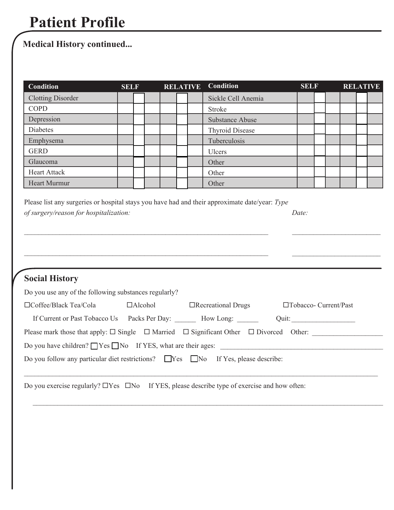## **Patient Profile**

## **Medical History continued...**

| <b>Condition</b>         | <b>SELF</b> |  | <b>RELATIVE</b> | <b>Condition</b>       | <b>SELF</b> |  |  | <b>RELATIVE</b> |
|--------------------------|-------------|--|-----------------|------------------------|-------------|--|--|-----------------|
| <b>Clotting Disorder</b> |             |  |                 | Sickle Cell Anemia     |             |  |  |                 |
| <b>COPD</b>              |             |  |                 | Stroke                 |             |  |  |                 |
| Depression               |             |  |                 | <b>Substance Abuse</b> |             |  |  |                 |
| Diabetes                 |             |  |                 | <b>Thyroid Disease</b> |             |  |  |                 |
| Emphysema                |             |  |                 | Tuberculosis           |             |  |  |                 |
| <b>GERD</b>              |             |  |                 | <b>Ulcers</b>          |             |  |  |                 |
| Glaucoma                 |             |  |                 | Other                  |             |  |  |                 |
| <b>Heart Attack</b>      |             |  |                 | Other                  |             |  |  |                 |
| <b>Heart Murmur</b>      |             |  |                 | Other                  |             |  |  |                 |

\_\_\_\_\_\_\_\_\_\_\_\_\_\_\_\_\_\_\_\_\_\_\_\_\_\_\_\_\_\_\_\_\_\_\_\_\_\_\_\_\_\_\_\_\_\_\_\_\_\_\_\_\_\_\_\_\_\_\_\_\_\_\_\_\_\_\_\_\_ *\_\_\_\_\_\_\_\_\_\_\_\_\_\_\_\_\_\_\_\_\_\_\_\_\_*

\_\_\_\_\_\_\_\_\_\_\_\_\_\_\_\_\_\_\_\_\_\_\_\_\_\_\_\_\_\_\_\_\_\_\_\_\_\_\_\_\_\_\_\_\_\_\_\_\_\_\_\_\_\_\_\_\_\_\_\_\_\_\_\_\_\_\_\_\_ *\_\_\_\_\_\_\_\_\_\_\_\_\_\_\_\_\_\_\_\_\_\_\_\_\_*

| Please list any surgeries or hospital stays you have had and their approximate date/year: Type |       |
|------------------------------------------------------------------------------------------------|-------|
| of surgery/reason for hospitalization:                                                         | Date: |

## **Social History**

| Do you use any of the following substances regularly?                                         |                |                           |                                                                                                            |
|-----------------------------------------------------------------------------------------------|----------------|---------------------------|------------------------------------------------------------------------------------------------------------|
| $\Box$ Coffee/Black Tea/Cola                                                                  | $\Box$ Alcohol | $\Box$ Recreational Drugs | $\Box$ Tobacco- Current/Past                                                                               |
| If Current or Past Tobacco Us Packs Per Day:                                                  |                | How Long:                 | Quit:                                                                                                      |
|                                                                                               |                |                           | Please mark those that apply: $\Box$ Single $\Box$ Married $\Box$ Significant Other $\Box$ Divorced Other: |
| Do you have children? $\Box$ Yes $\Box$ No If YES, what are their ages:                       |                |                           |                                                                                                            |
| Do you follow any particular diet restrictions? $\Box$ Yes $\Box$ No If Yes, please describe: |                |                           |                                                                                                            |
|                                                                                               |                |                           |                                                                                                            |

 $\_$ 

Do you exercise regularly?  $\Box$  Yes  $\Box$  No If YES, please describe type of exercise and how often: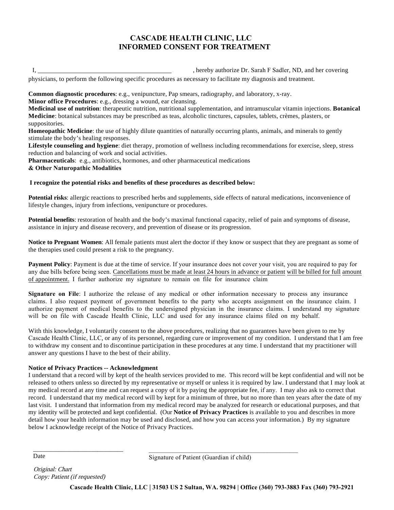#### **CASCADE HEALTH CLINIC, LLC INFORMED CONSENT FOR TREATMENT**

|  | hereby authoriz |
|--|-----------------|
|  |                 |

Le Dr. Sarah F Sadler, ND, and her covering

physicians, to perform the following specific procedures as necessary to facilitate my diagnosis and treatment.

**Common diagnostic procedures**: e.g., venipuncture, Pap smears, radiography, and laboratory, x-ray. **Minor office Procedures**: e.g., dressing a wound, ear cleansing.

**Medicinal use of nutrition**: therapeutic nutrition, nutritional supplementation, and intramuscular vitamin injections. **Botanical Medicine**: botanical substances may be prescribed as teas, alcoholic tinctures, capsules, tablets, crèmes, plasters, or suppositories.

**Homeopathic Medicine**: the use of highly dilute quantities of naturally occurring plants, animals, and minerals to gently stimulate the body's healing responses.

**Lifestyle counseling and hygiene**: diet therapy, promotion of wellness including recommendations for exercise, sleep, stress reduction and balancing of work and social activities.

**Pharmaceuticals**: e.g., antibiotics, hormones, and other pharmaceutical medications **& Other Naturopathic Modalities** 

#### **I recognize the potential risks and benefits of these procedures as described below:**

**Potential risks**: allergic reactions to prescribed herbs and supplements, side effects of natural medications, inconvenience of lifestyle changes, injury from infections, venipuncture or procedures.

**Potential benefits**: restoration of health and the body's maximal functional capacity, relief of pain and symptoms of disease, assistance in injury and disease recovery, and prevention of disease or its progression.

**Notice to Pregnant Women**: All female patients must alert the doctor if they know or suspect that they are pregnant as some of the therapies used could present a risk to the pregnancy.

**Payment Policy**: Payment is due at the time of service. If your insurance does not cover your visit, you are required to pay for any due bills before being seen. Cancellations must be made at least 24 hours in advance or patient will be billed for full amount of appointment. I further authorize my signature to remain on file for insurance claim

**Signature on File**: I authorize the release of any medical or other information necessary to process any insurance claims. I also request payment of government benefits to the party who accepts assignment on the insurance claim. I authorize payment of medical benefits to the undersigned physician in the insurance claims. I understand my signature will be on file with Cascade Health Clinic, LLC and used for any insurance claims filed on my behalf.

With this knowledge, I voluntarily consent to the above procedures, realizing that no guarantees have been given to me by Cascade Health Clinic, LLC, or any of its personnel, regarding cure or improvement of my condition. I understand that I am free to withdraw my consent and to discontinue participation in these procedures at any time. I understand that my practitioner will answer any questions I have to the best of their ability.

#### **Notice of Privacy Practices -- Acknowledgment**

I understand that a record will by kept of the health services provided to me. This record will be kept confidential and will not be released to others unless so directed by my representative or myself or unless it is required by law. I understand that I may look at my medical record at any time and can request a copy of it by paying the appropriate fee, if any. I may also ask to correct that record. I understand that my medical record will by kept for a minimum of three, but no more than ten years after the date of my last visit. I understand that information from my medical record may be analyzed for research or educational purposes, and that my identity will be protected and kept confidential. (Our **Notice of Privacy Practices** is available to you and describes in more detail how your health information may be used and disclosed, and how you can access your information.) By my signature below I acknowledge receipt of the Notice of Privacy Practices.

Date

Signature of Patient (Guardian if child)

Original: Chart Copy: Patient (if requested)

\_\_\_\_\_\_\_\_\_\_\_\_\_\_\_\_\_\_\_\_\_\_\_\_\_\_\_\_

**Cascade Health Clinic, LLC | 31503 US 2 Sultan, WA. 98294 | Office (360) 793-3883 Fax (360) 793-2921**

\_\_\_\_\_\_\_\_\_\_\_\_\_\_\_\_\_\_\_\_\_\_\_\_\_\_\_\_\_\_\_\_\_\_\_\_\_\_\_\_\_\_\_\_\_\_